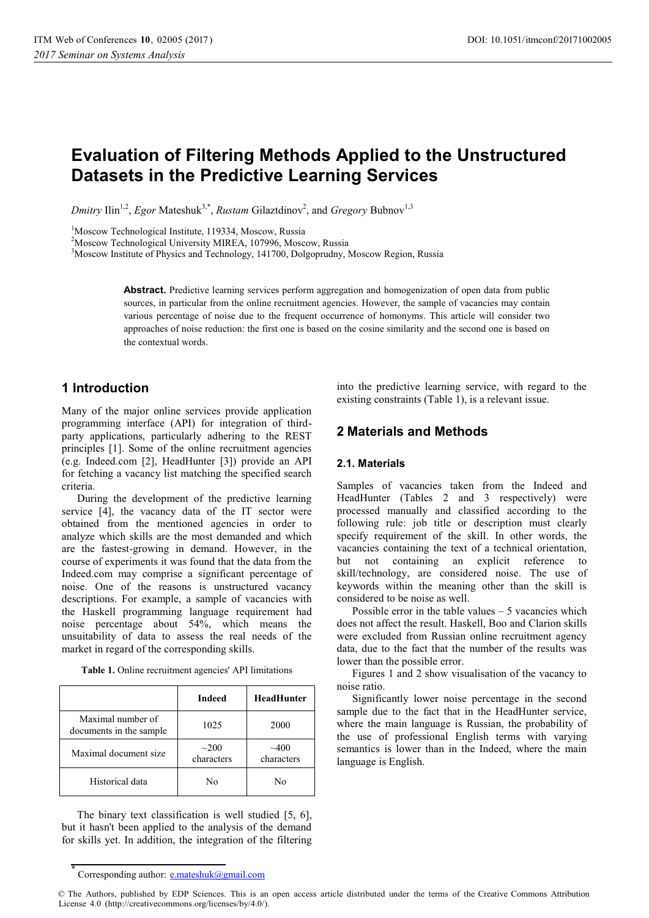# **Evaluation of Filtering Methods Applied to the Unstructured Datasets in the Predictive Learning Services**

*Dmitry* Ilin<sup>1,2</sup>, *Egor* Mateshuk<sup>3,\*</sup>, *Rustam* Gilaztdinov<sup>2</sup>, and *Gregory* Bubnov<sup>1,3</sup>

<sup>1</sup>Moscow Technological Institute, 119334, Moscow, Russia

<sup>2</sup>Moscow Technological University MIREA, 107996, Moscow, Russia

<sup>3</sup>Moscow Institute of Physics and Technology, 141700, Dolgoprudny, Moscow Region, Russia

**Abstract.** Predictive learning services perform aggregation and homogenization of open data from public sources, in particular from the online recruitment agencies. However, the sample of vacancies may contain various percentage of noise due to the frequent occurrence of homonyms. This article will consider two approaches of noise reduction: the first one is based on the cosine similarity and the second one is based on the contextual words.

# **1 Introduction**

Many of the major online services provide application programming interface (API) for integration of thirdparty applications, particularly adhering to the REST principles [1]. Some of the online recruitment agencies (e.g. Indeed.com [2], HeadHunter [3]) provide an API for fetching a vacancy list matching the specified search criteria.

During the development of the predictive learning service [4], the vacancy data of the IT sector were obtained from the mentioned agencies in order to analyze which skills are the most demanded and which are the fastest-growing in demand. However, in the course of experiments it was found that the data from the Indeed.com may comprise a significant percentage of noise. One of the reasons is unstructured vacancy descriptions. For example, a sample of vacancies with the Haskell programming language requirement had noise percentage about 54%, which means the unsuitability of data to assess the real needs of the market in regard of the corresponding skills.

**Table 1.** Online recruitment agencies' API limitations

|                                              | <b>Indeed</b>            | <b>HeadHunter</b>  |
|----------------------------------------------|--------------------------|--------------------|
| Maximal number of<br>documents in the sample | 1025                     | 2000               |
| Maximal document size                        | $\sim$ 200<br>characters | ~100<br>characters |
| Historical data                              | N٥                       | N٥                 |

The binary text classification is well studied [5, 6], but it hasn't been applied to the analysis of the demand for skills yet. In addition, the integration of the filtering

into the predictive learning service, with regard to the existing constraints (Table 1), is a relevant issue.

# **2 Materials and Methods**

#### **2.1. Materials**

Samples of vacancies taken from the Indeed and HeadHunter (Tables 2 and 3 respectively) were processed manually and classified according to the following rule: job title or description must clearly specify requirement of the skill. In other words, the vacancies containing the text of a technical orientation, but not containing an explicit reference to skill/technology, are considered noise. The use of keywords within the meaning other than the skill is considered to be noise as well.

Possible error in the table values  $-5$  vacancies which does not affect the result. Haskell, Boo and Clarion skills were excluded from Russian online recruitment agency data, due to the fact that the number of the results was lower than the possible error.

Figures 1 and 2 show visualisation of the vacancy to noise ratio.

Significantly lower noise percentage in the second sample due to the fact that in the HeadHunter service, where the main language is Russian, the probability of the use of professional English terms with varying semantics is lower than in the Indeed, where the main language is English.

<sup>\*</sup> Corresponding author: e.mateshuk@gmail.com

<sup>©</sup> The Authors, published by EDP Sciences. This is an open access article distributed under the terms of the Creative Commons Attribution License 4.0 (http://creativecommons.org/licenses/by/4.0/).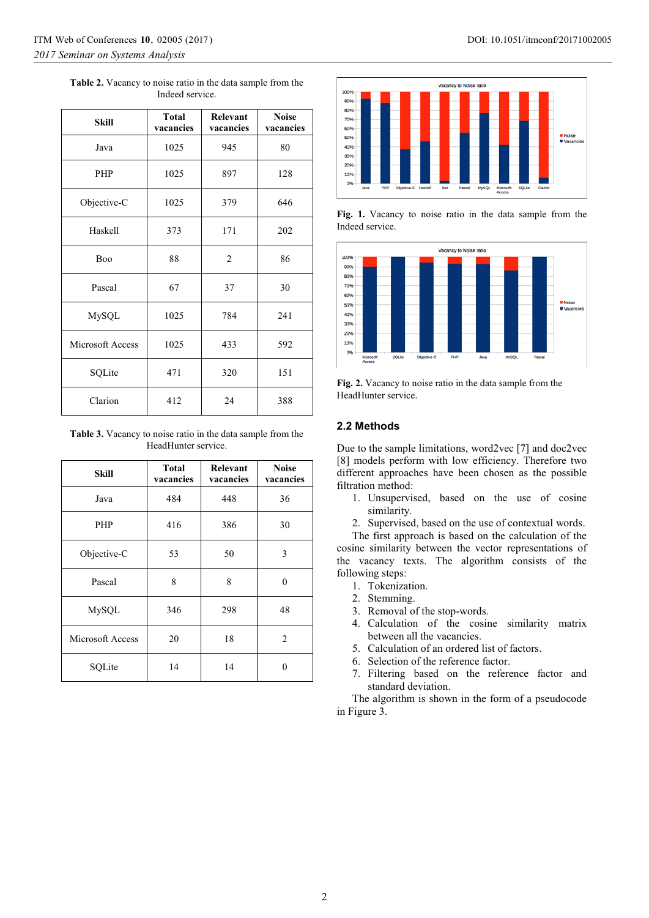| <b>Table 2.</b> Vacancy to noise ratio in the data sample from the |  |  |  |  |
|--------------------------------------------------------------------|--|--|--|--|
| Indeed service.                                                    |  |  |  |  |

| <b>Skill</b>     | <b>Total</b><br>vacancies | Relevant<br>vacancies | <b>Noise</b><br>vacancies |
|------------------|---------------------------|-----------------------|---------------------------|
| Java             | 1025                      | 945                   | 80                        |
| PHP              | 1025                      | 897                   | 128                       |
| Objective-C      | 1025                      | 379                   | 646                       |
| Haskell          | 373                       | 171                   | 202                       |
| <b>Boo</b>       | 88                        | $\overline{2}$        | 86                        |
| Pascal           | 67                        | 37                    | 30                        |
| MySQL            | 1025                      | 784                   | 241                       |
| Microsoft Access | 1025                      | 433                   | 592                       |
| SQLite           | 471                       | 320                   | 151                       |
| Clarion          | 412                       | 24                    | 388                       |

**Table 3.** Vacancy to noise ratio in the data sample from the HeadHunter service.

| Skill            | <b>Total</b><br>vacancies | Relevant<br>vacancies | <b>Noise</b><br>vacancies |
|------------------|---------------------------|-----------------------|---------------------------|
| Java             | 484                       | 448                   | 36                        |
| PHP              | 416                       | 386                   | 30                        |
| Objective-C      | 53                        | 50                    | 3                         |
| Pascal           | 8                         | 8                     | 0                         |
| MySQL            | 346                       | 298                   | 48                        |
| Microsoft Access | 20                        | 18                    | 2                         |
| SQLite           | 14                        | 14                    | 0                         |



**Fig. 1.** Vacancy to noise ratio in the data sample from the Indeed service.



**Fig. 2.** Vacancy to noise ratio in the data sample from the HeadHunter service.

### **2.2 Methods**

Due to the sample limitations, word2vec [7] and doc2vec [8] models perform with low efficiency. Therefore two different approaches have been chosen as the possible filtration method:

- 1. Unsupervised, based on the use of cosine similarity.
- 2. Supervised, based on the use of contextual words.

The first approach is based on the calculation of the cosine similarity between the vector representations of the vacancy texts. The algorithm consists of the following steps:

- 1. Tokenization.
- 2. Stemming.
- 3. Removal of the stop-words.
- 4. Calculation of the cosine similarity matrix between all the vacancies.
- 5. Calculation of an ordered list of factors.
- 6. Selection of the reference factor.
- 7. Filtering based on the reference factor and standard deviation.

The algorithm is shown in the form of a pseudocode in Figure 3.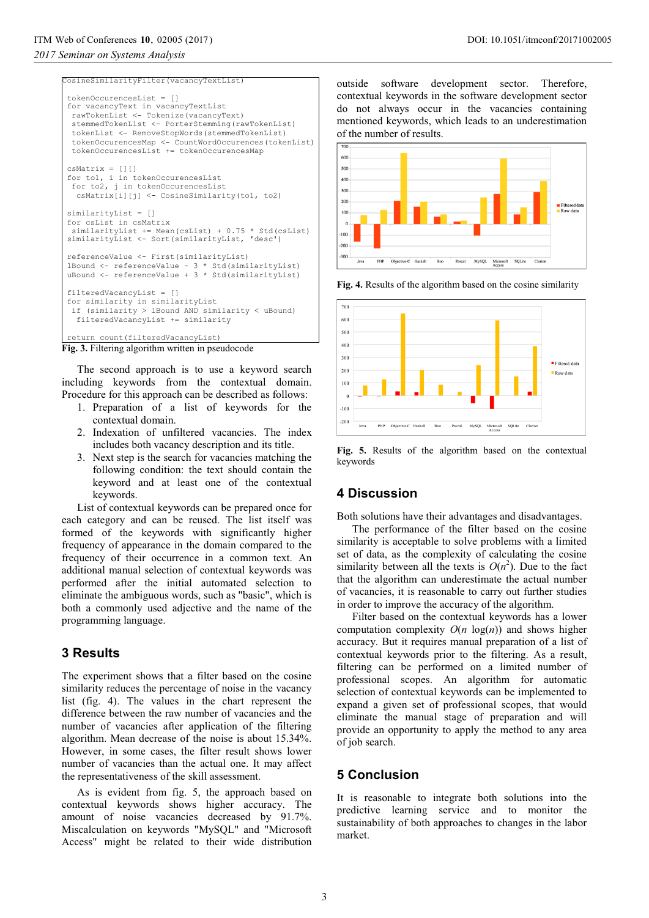#### CosineSimilarityFilter(vacancyTextList) tokenOccurencesList = [] for vacancyText in vacancyTextList rawTokenList <- Tokenize(vacancyText) stemmedTokenList <- PorterStemming(rawTokenList) tokenList <- RemoveStopWords(stemmedTokenList) tokenOccurencesMap <- CountWordOccurences(tokenList) tokenOccurencesList += tokenOccurencesMap  $csMatrix = []$  for to1, i in tokenOccurencesList for to2, j in tokenOccurencesList csMatrix[i][j] <- CosineSimilarity(to1, to2) similarityList = [] for csList in csMatrix similarityList += Mean(csList) + 0.75 \* Std(csList) similarityList <- Sort(similarityList, 'desc') referenceValue <- First(similarityList) lBound <- referenceValue - 3 \* Std(similarityList) uBound <- referenceValue + 3 \* Std(similarityList) filteredVacancyList = [] for similarity in similarityList if (similarity > lBound AND similarity < uBound) filteredVacancyList += similarity return count(filteredVacancyList) **Fig. 3.** Filtering algorithm written in pseudocode The second approach is to use a keyword search *2017 Seminar on Systems Analysis*

including keywords from the contextual domain. Procedure for this approach can be described as follows:

- 1. Preparation of a list of keywords for the contextual domain.
- 2. Indexation of unfiltered vacancies. The index includes both vacancy description and its title.
- 3. Next step is the search for vacancies matching the following condition: the text should contain the keyword and at least one of the contextual keywords.

List of contextual keywords can be prepared once for each category and can be reused. The list itself was formed of the keywords with significantly higher frequency of appearance in the domain compared to the frequency of their occurrence in a common text. An additional manual selection of contextual keywords was performed after the initial automated selection to eliminate the ambiguous words, such as "basic", which is both a commonly used adjective and the name of the programming language.

# **3 Results**

The experiment shows that a filter based on the cosine similarity reduces the percentage of noise in the vacancy list (fig. 4). The values in the chart represent the difference between the raw number of vacancies and the number of vacancies after application of the filtering algorithm. Mean decrease of the noise is about 15.34%. However, in some cases, the filter result shows lower number of vacancies than the actual one. It may affect the representativeness of the skill assessment.

As is evident from fig. 5, the approach based on contextual keywords shows higher accuracy. The amount of noise vacancies decreased by 91.7%. Miscalculation on keywords "MySQL" and "Microsoft Access" might be related to their wide distribution

outside software development sector. Therefore, contextual keywords in the software development sector do not always occur in the vacancies containing mentioned keywords, which leads to an underestimation of the number of results.



**Fig. 4.** Results of the algorithm based on the cosine similarity



**Fig. 5.** Results of the algorithm based on the contextual keywords

## **4 Discussion**

Both solutions have their advantages and disadvantages.

The performance of the filter based on the cosine similarity is acceptable to solve problems with a limited set of data, as the complexity of calculating the cosine similarity between all the texts is  $O(n^2)$ . Due to the fact that the algorithm can underestimate the actual number of vacancies, it is reasonable to carry out further studies in order to improve the accuracy of the algorithm.

Filter based on the contextual keywords has a lower computation complexity  $O(n \log(n))$  and shows higher accuracy. But it requires manual preparation of a list of contextual keywords prior to the filtering. As a result, filtering can be performed on a limited number of professional scopes. An algorithm for automatic selection of contextual keywords can be implemented to expand a given set of professional scopes, that would eliminate the manual stage of preparation and will provide an opportunity to apply the method to any area of job search.

# **5 Conclusion**

It is reasonable to integrate both solutions into the predictive learning service and to monitor the sustainability of both approaches to changes in the labor market.